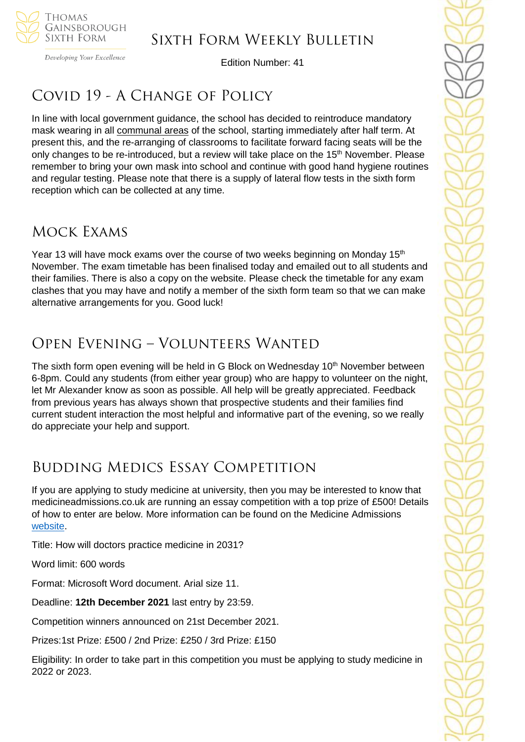

Developing Your Excellence

Edition Number: 41

# COVID 19 - A CHANGE OF POLICY

In line with local government guidance, the school has decided to reintroduce mandatory mask wearing in all communal areas of the school, starting immediately after half term. At present this, and the re-arranging of classrooms to facilitate forward facing seats will be the only changes to be re-introduced, but a review will take place on the 15<sup>th</sup> November. Please remember to bring your own mask into school and continue with good hand hygiene routines and regular testing. Please note that there is a supply of lateral flow tests in the sixth form reception which can be collected at any time.

## Mock Exams

Year 13 will have mock exams over the course of two weeks beginning on Monday 15<sup>th</sup> November. The exam timetable has been finalised today and emailed out to all students and their families. There is also a copy on the website. Please check the timetable for any exam clashes that you may have and notify a member of the sixth form team so that we can make alternative arrangements for you. Good luck!

# Open Evening – Volunteers Wanted

The sixth form open evening will be held in G Block on Wednesday  $10<sup>th</sup>$  November between 6-8pm. Could any students (from either year group) who are happy to volunteer on the night, let Mr Alexander know as soon as possible. All help will be greatly appreciated. Feedback from previous years has always shown that prospective students and their families find current student interaction the most helpful and informative part of the evening, so we really do appreciate your help and support.

# Budding Medics Essay Competition

If you are applying to study medicine at university, then you may be interested to know that medicineadmissions.co.uk are running an essay competition with a top prize of £500! Details of how to enter are below. More information can be found on the Medicine Admissions [website.](https://www.medicineadmissions.co.uk/competition2021)

Title: How will doctors practice medicine in 2031?

Word limit: 600 words

Format: Microsoft Word document. Arial size 11.

Deadline: **12th December 2021** last entry by 23:59.

Competition winners announced on 21st December 2021.

Prizes:1st Prize: £500 / 2nd Prize: £250 / 3rd Prize: £150

Eligibility: In order to take part in this competition you must be applying to study medicine in 2022 or 2023.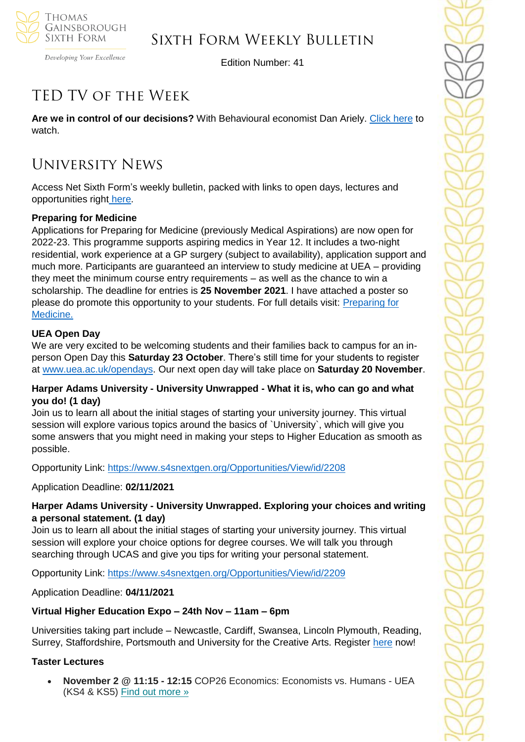

Developing Your Excellence

Edition Number: 41

# TED TV of the Week

**Are we in control of our decisions?** With Behavioural economist Dan Ariely. [Click here](https://www.ted.com/talks/dan_ariely_are_we_in_control_of_our_own_decisions) to watch.

# University News

Access Net Sixth Form's weekly bulletin, packed with links to open days, lectures and opportunities right [here.](https://us5.campaign-archive.com/?u=8dedc07ce580600fe618f38c3&id=4a19dae021&e=5eb29481e7)

#### **Preparing for Medicine**

Applications for Preparing for Medicine (previously Medical Aspirations) are now open for 2022-23. This programme supports aspiring medics in Year 12. It includes a two-night residential, work experience at a GP surgery (subject to availability), application support and much more. Participants are guaranteed an interview to study medicine at UEA – providing they meet the minimum course entry requirements – as well as the chance to win a scholarship. The deadline for entries is **25 November 2021**. I have attached a poster so please do promote this opportunity to your students. For full details visit: [Preparing for](https://www.uea.ac.uk/study/information-for/teachers/services-for-schools/year-12-13/on-campus/preparing-for-medicine)  [Medicine.](https://www.uea.ac.uk/study/information-for/teachers/services-for-schools/year-12-13/on-campus/preparing-for-medicine)

#### **UEA Open Day**

We are very excited to be welcoming students and their families back to campus for an inperson Open Day this **Saturday 23 October**. There's still time for your students to register at [www.uea.ac.uk/opendays.](file://///tgs-sr-data/Staff%20Shared/Sixth%20Form/Admin/Weekly%20Bulletin/www.uea.ac.uk/opendays) Our next open day will take place on **Saturday 20 November**.

#### **Harper Adams University - University Unwrapped - What it is, who can go and what you do! (1 day)**

Join us to learn all about the initial stages of starting your university journey. This virtual session will explore various topics around the basics of `University`, which will give you some answers that you might need in making your steps to Higher Education as smooth as possible.

Opportunity Link:<https://www.s4snextgen.org/Opportunities/View/id/2208>

Application Deadline: **02/11/2021**

#### **Harper Adams University - University Unwrapped. Exploring your choices and writing a personal statement. (1 day)**

Join us to learn all about the initial stages of starting your university journey. This virtual session will explore your choice options for degree courses. We will talk you through searching through UCAS and give you tips for writing your personal statement.

Opportunity Link:<https://www.s4snextgen.org/Opportunities/View/id/2209>

Application Deadline: **04/11/2021**

### **Virtual Higher Education Expo – 24th Nov – 11am – 6pm**

Universities taking part include – Newcastle, Cardiff, Swansea, Lincoln Plymouth, Reading, Surrey, Staffordshire, Portsmouth and University for the Creative Arts. Register [here](https://ukhex.vfairs.com/en/register?utm_source=https%3a%2f%2fschools.tecl.co.uk%2feducationcompany5lz%2f&utm_medium=email&utm_campaign=UKHEX+-+Email+1+-+September+2021&utm_term=Your+invitation+to+the+Virtual+UK+Higher+Education+Expo+-+24th+November+2021+&utm_content=4907216&gator_td=fUqJdhRw7MVIlPiB19RyeIo12X5A2utf%2bMM0T3XBusxDT87eCf15vasXf9NkU2ddNg%2fMyKlZSWXIPNMc7xHtce0dLfnMNKa%2bW%2f9AOji9srvXT9znGno3qF%2bCbNUs7r0SxoATlV6mYRLqMTtpEd3Vl%2f0J43OPjRXEeB5DUuZhBPDg6ysIcp7RVBBbQgupKFO6yKu8dErJatDTxIVJ0AIKpg%3d%3d) now!

#### **Taster Lectures**

• **November 2 @ 11:15 - 12:15** COP26 Economics: Economists vs. Humans - UEA (KS4 & KS5) Find out [more](https://channeltalent.us10.list-manage.com/track/click?u=145837fa6843e0c349598322a&id=9c7d5046ad&e=ba0e9a2959) »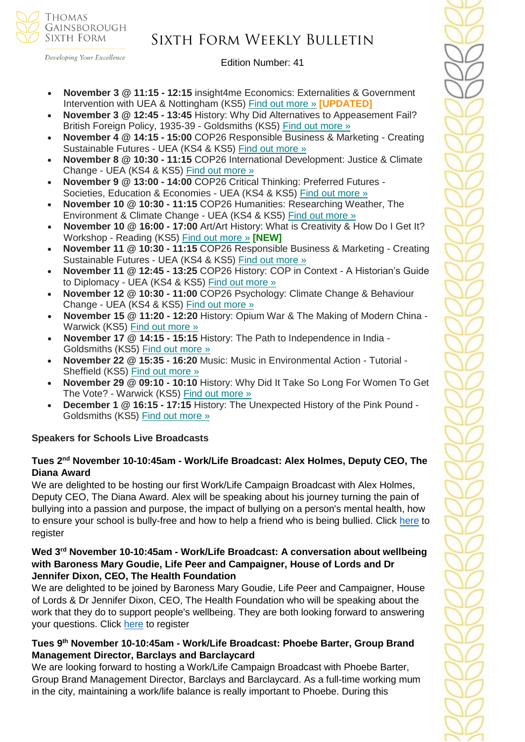

Developing Your Excellence

Edition Number: 41

- **November 3 @ 11:15 - 12:15** insight4me Economics: Externalities & Government Intervention with UEA & Nottingham (KS5) Find out [more](https://channeltalent.us10.list-manage.com/track/click?u=145837fa6843e0c349598322a&id=012ab5d091&e=155232616c) » **[UPDATED]**
- **November 3 @ 12:45 - 13:45** History: Why Did Alternatives to Appeasement Fail? British Foreign Policy, 1935-39 - Goldsmiths (KS5) Find out [more](https://channeltalent.us10.list-manage.com/track/click?u=145837fa6843e0c349598322a&id=0850013119&e=155232616c) »
- **November 4 @ 14:15 - 15:00** COP26 Responsible Business & Marketing Creating Sustainable Futures - UEA (KS4 & KS5) Find out [more](https://channeltalent.us10.list-manage.com/track/click?u=145837fa6843e0c349598322a&id=5e38111980&e=ba0e9a2959) »
- **November 8 @ 10:30 - 11:15** COP26 International Development: Justice & Climate Change - UEA (KS4 & KS5) Find out [more](https://channeltalent.us10.list-manage.com/track/click?u=145837fa6843e0c349598322a&id=7e4fcd1797&e=ba0e9a2959) »
- **November 9 @ 13:00 - 14:00** COP26 Critical Thinking: Preferred Futures Societies, Education & Economies - UEA (KS4 & KS5) Find out [more](https://channeltalent.us10.list-manage.com/track/click?u=145837fa6843e0c349598322a&id=5abd931332&e=ba0e9a2959) »
- **November 10 @ 10:30 - 11:15** COP26 Humanities: Researching Weather, The Environment & Climate Change - UEA (KS4 & KS5) Find out [more](https://channeltalent.us10.list-manage.com/track/click?u=145837fa6843e0c349598322a&id=ff697516d5&e=ba0e9a2959) »
- **November 10 @ 16:00 - 17:00** Art/Art History: What is Creativity & How Do I Get It? Workshop - Reading (KS5) Find out [more](https://channeltalent.us10.list-manage.com/track/click?u=145837fa6843e0c349598322a&id=248c59e4fe&e=155232616c) » **[NEW]**
- **November 11 @ 10:30 - 11:15** COP26 Responsible Business & Marketing Creating Sustainable Futures - UEA (KS4 & KS5) Find out [more](https://channeltalent.us10.list-manage.com/track/click?u=145837fa6843e0c349598322a&id=2bb2ff4597&e=ba0e9a2959) »
- **November 11 @ 12:45 - 13:25** COP26 History: COP in Context A Historian's Guide to Diplomacy - UEA (KS4 & KS5) Find out [more](https://channeltalent.us10.list-manage.com/track/click?u=145837fa6843e0c349598322a&id=44cc570dc5&e=ba0e9a2959) »
- **November 12 @ 10:30 - 11:00** COP26 Psychology: Climate Change & Behaviour Change - UEA (KS4 & KS5) Find out [more](https://channeltalent.us10.list-manage.com/track/click?u=145837fa6843e0c349598322a&id=477a8837c2&e=ba0e9a2959) »
- **November 15 @ 11:20 - 12:20** History: Opium War & The Making of Modern China Warwick (KS5) Find out [more](https://channeltalent.us10.list-manage.com/track/click?u=145837fa6843e0c349598322a&id=b10c8a712c&e=155232616c) »
- **November 17 @ 14:15 - 15:15** History: The Path to Independence in India Goldsmiths (KS5) Find out [more](https://channeltalent.us10.list-manage.com/track/click?u=145837fa6843e0c349598322a&id=21380843d7&e=155232616c) »
- **November 22 @ 15:35 - 16:20** Music: Music in Environmental Action Tutorial Sheffield (KS5) Find out [more](https://channeltalent.us10.list-manage.com/track/click?u=145837fa6843e0c349598322a&id=b21e46f2ac&e=ba0e9a2959) »
- **November 29 @ 09:10 - 10:10** History: Why Did It Take So Long For Women To Get The Vote? - Warwick (KS5) Find out [more](https://channeltalent.us10.list-manage.com/track/click?u=145837fa6843e0c349598322a&id=eb231b9089&e=155232616c) »
- **December 1 @ 16:15 - 17:15** History: The Unexpected History of the Pink Pound Goldsmiths (KS5) Find out [more](https://channeltalent.us10.list-manage.com/track/click?u=145837fa6843e0c349598322a&id=0289b66ae9&e=155232616c) »

### **Speakers for Schools Live Broadcasts**

#### **Tues 2 nd November 10-10:45am - Work/Life Broadcast: Alex Holmes, Deputy CEO, The Diana Award**

We are delighted to be hosting our first Work/Life Campaign Broadcast with Alex Holmes. Deputy CEO, The Diana Award. Alex will be speaking about his journey turning the pain of bullying into a passion and purpose, the impact of bullying on a person's mental health, how to ensure your school is bully-free and how to help a friend who is being bullied. Click [here](https://forms.office.com/r/cFkVGkW08D) to register

#### **Wed 3 rd November 10-10:45am - Work/Life Broadcast: A conversation about wellbeing with Baroness Mary Goudie, Life Peer and Campaigner, House of Lords and Dr Jennifer Dixon, CEO, The Health Foundation**

We are delighted to be joined by Baroness Mary Goudie, Life Peer and Campaigner, House of Lords & Dr Jennifer Dixon, CEO, The Health Foundation who will be speaking about the work that they do to support people's wellbeing. They are both looking forward to answering your questions. Click [here](https://forms.office.com/r/k5QvKvnbkb) to register

#### **Tues 9 th November 10-10:45am - Work/Life Broadcast: Phoebe Barter, Group Brand Management Director, Barclays and Barclaycard**

We are looking forward to hosting a Work/Life Campaign Broadcast with Phoebe Barter, Group Brand Management Director, Barclays and Barclaycard. As a full-time working mum in the city, maintaining a work/life balance is really important to Phoebe. During this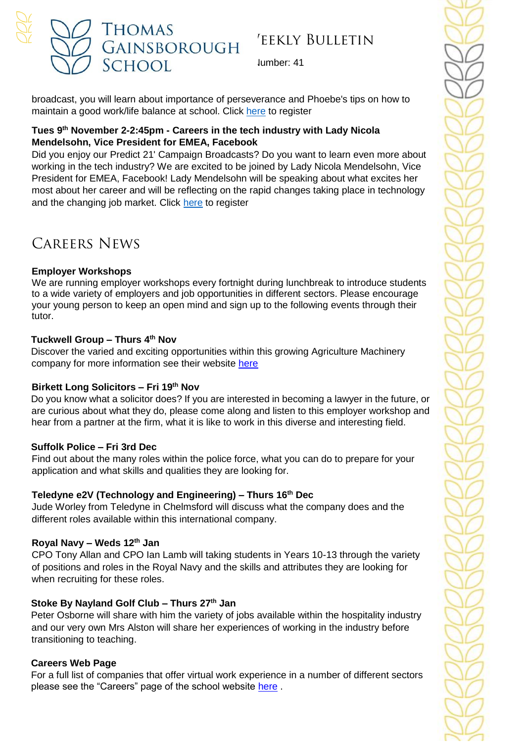

lumber: 41

broadcast, you will learn about importance of perseverance and Phoebe's tips on how to maintain a good work/life balance at school. Click [here](https://forms.office.com/r/dgX6BtWuaP) to register

#### **Tues 9 th November 2-2:45pm - Careers in the tech industry with Lady Nicola Mendelsohn, Vice President for EMEA, Facebook**

Did you enjoy our Predict 21' Campaign Broadcasts? Do you want to learn even more about working in the tech industry? We are excited to be joined by Lady Nicola Mendelsohn, Vice President for EMEA, Facebook! Lady Mendelsohn will be speaking about what excites her most about her career and will be reflecting on the rapid changes taking place in technology and the changing job market. Click [here](https://forms.office.com/r/H7KKKaARtt) to register

# Careers News

### **Employer Workshops**

We are running employer workshops every fortnight during lunchbreak to introduce students to a wide variety of employers and job opportunities in different sectors. Please encourage your young person to keep an open mind and sign up to the following events through their tutor.

#### **Tuckwell Group – Thurs 4 th Nov**

Discover the varied and exciting opportunities within this growing Agriculture Machinery company for more information see their website [here](https://www.tuckwells.com/tuckwell-careers/)

#### **Birkett Long Solicitors – Fri 19th Nov**

Do you know what a solicitor does? If you are interested in becoming a lawyer in the future, or are curious about what they do, please come along and listen to this employer workshop and hear from a partner at the firm, what it is like to work in this diverse and interesting field.

### **Suffolk Police – Fri 3rd Dec**

Find out about the many roles within the police force, what you can do to prepare for your application and what skills and qualities they are looking for.

### **Teledyne e2V (Technology and Engineering) – Thurs 16th Dec**

Jude Worley from Teledyne in Chelmsford will discuss what the company does and the different roles available within this international company.

### **Royal Navy – Weds 12th Jan**

CPO Tony Allan and CPO Ian Lamb will taking students in Years 10-13 through the variety of positions and roles in the Royal Navy and the skills and attributes they are looking for when recruiting for these roles.

### **Stoke By Nayland Golf Club – Thurs 27th Jan**

Peter Osborne will share with him the variety of jobs available within the hospitality industry and our very own Mrs Alston will share her experiences of working in the industry before transitioning to teaching.

### **Careers Web Page**

For a full list of companies that offer virtual work experience in a number of different sectors please see the "Careers" page of the school website [here](https://tgschool.net/careers) .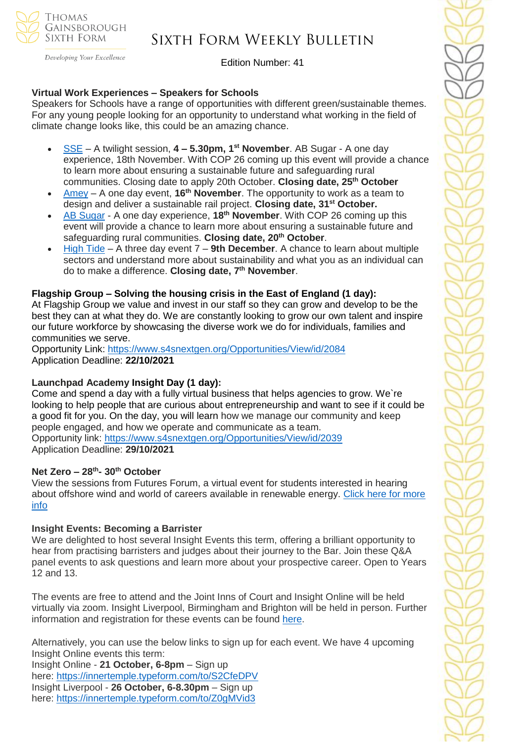

#### Developing Your Excellence

## Sixth Form Weekly Bulletin

Edition Number: 41

#### **Virtual Work Experiences – Speakers for Schools**

Speakers for Schools have a range of opportunities with different green/sustainable themes. For any young people looking for an opportunity to understand what working in the field of climate change looks like, this could be an amazing chance.

- [SSE](https://www.s4snextgen.org/Opportunities/View/id/2250) A twilight session, **4 – 5.30pm, 1st November**. AB Sugar A one day experience, 18th November. With COP 26 coming up this event will provide a chance to learn more about ensuring a sustainable future and safeguarding rural communities. Closing date to apply 20th October. **Closing date, 25th October**
- [Amey](https://www.s4snextgen.org/Opportunities/View/id/2189) A one day event, **16th November**. The opportunity to work as a team to design and deliver a sustainable rail project. **Closing date, 31st October.**
- AB [Sugar](https://www.s4snextgen.org/Opportunities/View/id/2222) A one day experience, **18th November**. With COP 26 coming up this event will provide a chance to learn more about ensuring a sustainable future and safeguarding rural communities. **Closing date, 20th October**.
- [High](https://www.s4snextgen.org/Opportunities/View/id/2192) Tide A three day event 7 **9th December**. A chance to learn about multiple sectors and understand more about sustainability and what you as an individual can do to make a difference. **Closing date, 7 th November**.

#### **Flagship Group – Solving the housing crisis in the East of England (1 day):**

At Flagship Group we value and invest in our staff so they can grow and develop to be the best they can at what they do. We are constantly looking to grow our own talent and inspire our future workforce by showcasing the diverse work we do for individuals, families and communities we serve.

Opportunity Link: <https://www.s4snextgen.org/Opportunities/View/id/2084> Application Deadline: **22/10/2021**

#### **Launchpad Academy Insight Day (1 day):**

Come and spend a day with a fully virtual business that helps agencies to grow. We`re looking to help people that are curious about entrepreneurship and want to see if it could be a good fit for you. On the day, you will learn how we manage our community and keep people engaged, and how we operate and communicate as a team. Opportunity link: <https://www.s4snextgen.org/Opportunities/View/id/2039> Application Deadline: **29/10/2021**

#### **Net Zero – 28th - 30th October**

View the sessions from Futures Forum, a virtual event for students interested in hearing about offshore wind and world of careers available in renewable energy. Click here for [more](https://www.youtube.com/playlist?list=PLI7uPDGPOL43bdiYSr6kfajLL2PnS-DGG) [info](https://www.youtube.com/playlist?list=PLI7uPDGPOL43bdiYSr6kfajLL2PnS-DGG)

#### **Insight Events: Becoming a Barrister**

We are delighted to host several Insight Events this term, offering a brilliant opportunity to hear from practising barristers and judges about their journey to the Bar. Join these Q&A panel events to ask questions and learn more about your prospective career. Open to Years 12 and 13.

The events are free to attend and the Joint Inns of Court and Insight Online will be held virtually via zoom. Insight Liverpool, Birmingham and Brighton will be held in person. Further information and registration for these events can be found [here.](https://www.innertemple.org.uk/becoming-a-barrister/how-to-get-involved/insight-events/)

Alternatively, you can use the below links to sign up for each event. We have 4 upcoming Insight Online events this term:

Insight Online - **21 October, 6-8pm** – Sign up here: [https://innertemple.typeform.com/to/S2CfeDPV](http://purepotential-mail.org/_act/link.php?mId=P923857114982861196941494zzzzz64b5f553a457813351bc5d87a56f315acbae69a4b1c2f798408e6f781a0f330a2c&tId=329281259) Insight Liverpool - **26 October, 6-8.30pm** – Sign up here: [https://innertemple.typeform.com/to/Z0gMVid3](http://purepotential-mail.org/_act/link.php?mId=P923857114982861196941494zzzzz64b5f553a457813351bc5d87a56f315acbae69a4b1c2f798408e6f781a0f330a2c&tId=329281260)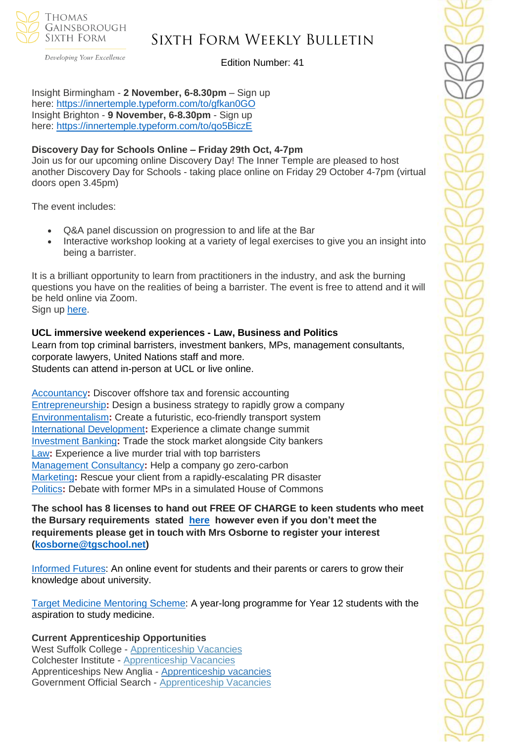

Developing Your Excellence

Edition Number: 41

Insight Birmingham - **2 November, 6-8.30pm** – Sign up here: [https://innertemple.typeform.com/to/gfkan0GO](http://purepotential-mail.org/_act/link.php?mId=P923857114982861196941494zzzzz64b5f553a457813351bc5d87a56f315acbae69a4b1c2f798408e6f781a0f330a2c&tId=329281261) Insight Brighton - **9 November, 6-8.30pm** - Sign up here: [https://innertemple.typeform.com/to/qo5BiczE](http://purepotential-mail.org/_act/link.php?mId=P923857114982861196941494zzzzz64b5f553a457813351bc5d87a56f315acbae69a4b1c2f798408e6f781a0f330a2c&tId=329281262)

#### **Discovery Day for Schools Online – Friday 29th Oct, 4-7pm**

Join us for our upcoming online Discovery Day! The Inner Temple are pleased to host another Discovery Day for Schools - taking place online on Friday 29 October 4-7pm (virtual doors open 3.45pm)

The event includes:

- Q&A panel discussion on progression to and life at the Bar
- Interactive workshop looking at a variety of legal exercises to give you an insight into being a barrister.

It is a brilliant opportunity to learn from practitioners in the industry, and ask the burning questions you have on the realities of being a barrister. The event is free to attend and it will be held online via Zoom. Sign up [here.](https://innertemple.typeform.com/to/F9DtoP57)

#### **UCL immersive weekend experiences - Law, Business and Politics**

Learn from top criminal barristers, investment bankers, MPs, management consultants, corporate lawyers, United Nations staff and more. Students can attend in-person at UCL or live online.

[Accountancy](https://investin.us6.list-manage.com/track/click?u=42ef3d3a89e86b8375cadb9aa&id=50fbdc8789&e=894e4199ae)**:** Discover offshore tax and forensic accounting [Entrepreneurship](https://investin.us6.list-manage.com/track/click?u=42ef3d3a89e86b8375cadb9aa&id=33b53e1e98&e=894e4199ae)**:** Design a business strategy to rapidly grow a company [Environmentalism](https://investin.us6.list-manage.com/track/click?u=42ef3d3a89e86b8375cadb9aa&id=2d29b2354b&e=894e4199ae)**:** Create a futuristic, eco-friendly transport system [International Development](https://investin.us6.list-manage.com/track/click?u=42ef3d3a89e86b8375cadb9aa&id=a0cac68923&e=894e4199ae)**:** Experience a climate change summit [Investment Banking](https://investin.us6.list-manage.com/track/click?u=42ef3d3a89e86b8375cadb9aa&id=e39aef2961&e=894e4199ae)**:** Trade the stock market alongside City bankers [Law](https://investin.us6.list-manage.com/track/click?u=42ef3d3a89e86b8375cadb9aa&id=15cecd425b&e=894e4199ae)**:** Experience a live murder trial with top barristers [Management Consultancy](https://investin.us6.list-manage.com/track/click?u=42ef3d3a89e86b8375cadb9aa&id=4304ae2fdb&e=894e4199ae)**:** Help a company go zero-carbon [Marketing](https://investin.us6.list-manage.com/track/click?u=42ef3d3a89e86b8375cadb9aa&id=bea59f6e1f&e=894e4199ae)**:** Rescue your client from a rapidly-escalating PR disaster [Politics](https://investin.us6.list-manage.com/track/click?u=42ef3d3a89e86b8375cadb9aa&id=377be42c59&e=894e4199ae)**:** Debate with former MPs in a simulated House of Commons

**The school has 8 licenses to hand out FREE OF CHARGE to keen students who meet the Bursary requirements stated [here](https://investin.org/pages/bursaries) however even if you don't meet the requirements please get in touch with Mrs Osborne to register your interest [\(kosborne@tgschool.net\)](mailto:kosborne@tgschool.net)** 

[Informed](https://outlook.office.com/mail/inbox/id/AAQkADllY2M0NTlkLWZiMmYtNDcwNy1iZDFhLTQ0YzllNjA2ZDA3YQAQAGdzf%2BQmjyFCldEU6m%2Fk5C4%3D#x_Informed-Futures) Futures: An online event for students and their parents or carers to grow their knowledge about university.

Target Medicine [Mentoring](https://outlook.office.com/mail/inbox/id/AAQkADllY2M0NTlkLWZiMmYtNDcwNy1iZDFhLTQ0YzllNjA2ZDA3YQAQAGdzf%2BQmjyFCldEU6m%2Fk5C4%3D#x_Target-Medicine-Mentoring-Scheme-2022) Scheme: A year-long programme for Year 12 students with the aspiration to study medicine.

**Current Apprenticeship Opportunities**

West Suffolk College - [Apprenticeship Vacancies](https://apprenticeships.wsc.ac.uk/) Colchester Institute - [Apprenticeship Vacancies](https://www.colchester.ac.uk/apprenticeships/vacancies/) Apprenticeships New Anglia - [Apprenticeship vacancies](https://www.apprenticeshipsnewanglia.co.uk/) Government Official Search - [Apprenticeship Vacancies](https://www.gov.uk/apply-apprenticeship)